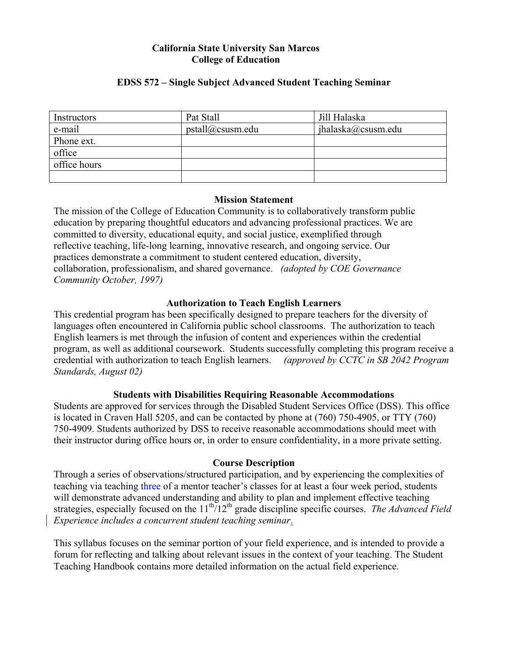#### **California State University San Marcos College of Education**

### **EDSS 572 – Single Subject Advanced Student Teaching Seminar**

| Instructors  | Pat Stall        | Jill Halaska        |
|--------------|------------------|---------------------|
| e-mail       | pstall@csusm.edu | ihalaska@cosusm.edu |
| Phone ext.   |                  |                     |
| office       |                  |                     |
| office hours |                  |                     |
|              |                  |                     |

#### **Mission Statement**

The mission of the College of Education Community is to collaboratively transform public education by preparing thoughtful educators and advancing professional practices. We are committed to diversity, educational equity, and social justice, exemplified through reflective teaching, life-long learning, innovative research, and ongoing service. Our practices demonstrate a commitment to student centered education, diversity, collaboration, professionalism, and shared governance. *(adopted by COE Governance Community October, 1997)*

### **Authorization to Teach English Learners**

This credential program has been specifically designed to prepare teachers for the diversity of languages often encountered in California public school classrooms. The authorization to teach English learners is met through the infusion of content and experiences within the credential program, as well as additional coursework. Students successfully completing this program receive a credential with authorization to teach English learners. *(approved by CCTC in SB 2042 Program Standards, August 02)*

### **Students with Disabilities Requiring Reasonable Accommodations**

Students are approved for services through the Disabled Student Services Office (DSS). This office is located in Craven Hall 5205, and can be contacted by phone at (760) 750-4905, or TTY (760) 750-4909. Students authorized by DSS to receive reasonable accommodations should meet with their instructor during office hours or, in order to ensure confidentiality, in a more private setting.

#### **Course Description**

Through a series of observations/structured participation, and by experiencing the complexities of teaching via teaching three of a mentor teacher's classes for at least a four week period, students will demonstrate advanced understanding and ability to plan and implement effective teaching strategies, especially focused on the 11<sup>th</sup>/12<sup>th</sup> grade discipline specific courses. *The Advanced Field Experience includes a concurrent student teaching seminar*.

This syllabus focuses on the seminar portion of your field experience, and is intended to provide a forum for reflecting and talking about relevant issues in the context of your teaching. The Student Teaching Handbook contains more detailed information on the actual field experience.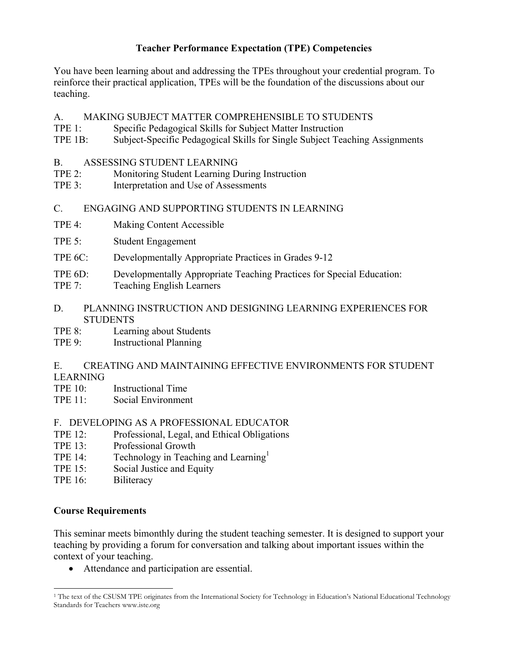# **Teacher Performance Expectation (TPE) Competencies**

You have been learning about and addressing the TPEs throughout your credential program. To reinforce their practical application, TPEs will be the foundation of the discussions about our teaching.

- A. MAKING SUBJECT MATTER COMPREHENSIBLE TO STUDENTS
- TPE 1: Specific Pedagogical Skills for Subject Matter Instruction
- TPE 1B: Subject-Specific Pedagogical Skills for Single Subject Teaching Assignments
- B. ASSESSING STUDENT LEARNING
- TPE 2: Monitoring Student Learning During Instruction
- TPE 3: Interpretation and Use of Assessments
- C. ENGAGING AND SUPPORTING STUDENTS IN LEARNING
- TPE 4: Making Content Accessible
- TPE 5: Student Engagement
- TPE 6C: Developmentally Appropriate Practices in Grades 9-12
- TPE 6D: Developmentally Appropriate Teaching Practices for Special Education:
- TPE 7: Teaching English Learners
- D. PLANNING INSTRUCTION AND DESIGNING LEARNING EXPERIENCES FOR **STUDENTS**
- TPE 8: Learning about Students
- TPE 9: Instructional Planning

E. CREATING AND MAINTAINING EFFECTIVE ENVIRONMENTS FOR STUDENT LEARNING

- TPE 10: Instructional Time
- TPE 11: Social Environment

# F. DEVELOPING AS A PROFESSIONAL EDUCATOR

- TPE 12: Professional, Legal, and Ethical Obligations
- TPE 13: Professional Growth
- TPE 14: Technology in Teaching and Learning<sup>1</sup>
- TPE 15: Social Justice and Equity
- TPE 16: Biliteracy

# **Course Requirements**

This seminar meets bimonthly during the student teaching semester. It is designed to support your teaching by providing a forum for conversation and talking about important issues within the context of your teaching.

• Attendance and participation are essential.

l <sup>1</sup> The text of the CSUSM TPE originates from the International Society for Technology in Education's National Educational Technology Standards for Teachers www.iste.org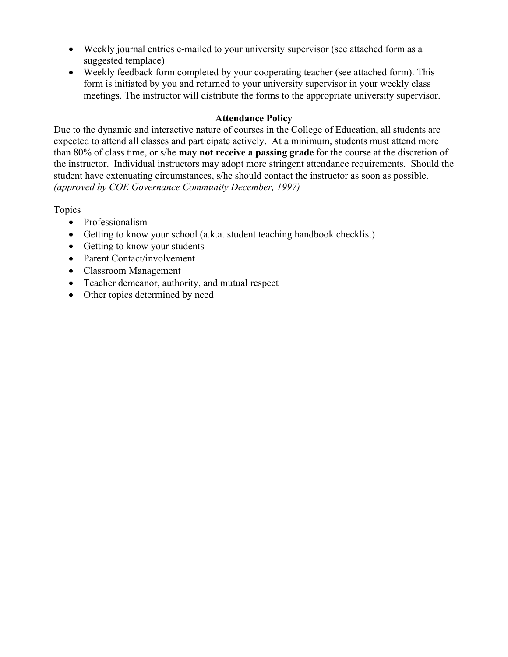- Weekly journal entries e-mailed to your university supervisor (see attached form as a suggested templace)
- Weekly feedback form completed by your cooperating teacher (see attached form). This form is initiated by you and returned to your university supervisor in your weekly class meetings. The instructor will distribute the forms to the appropriate university supervisor.

### **Attendance Policy**

Due to the dynamic and interactive nature of courses in the College of Education, all students are expected to attend all classes and participate actively. At a minimum, students must attend more than 80% of class time, or s/he **may not receive a passing grade** for the course at the discretion of the instructor. Individual instructors may adopt more stringent attendance requirements. Should the student have extenuating circumstances, s/he should contact the instructor as soon as possible. *(approved by COE Governance Community December, 1997)*

Topics

- Professionalism
- Getting to know your school (a.k.a. student teaching handbook checklist)
- Getting to know your students
- Parent Contact/involvement
- Classroom Management
- Teacher demeanor, authority, and mutual respect
- Other topics determined by need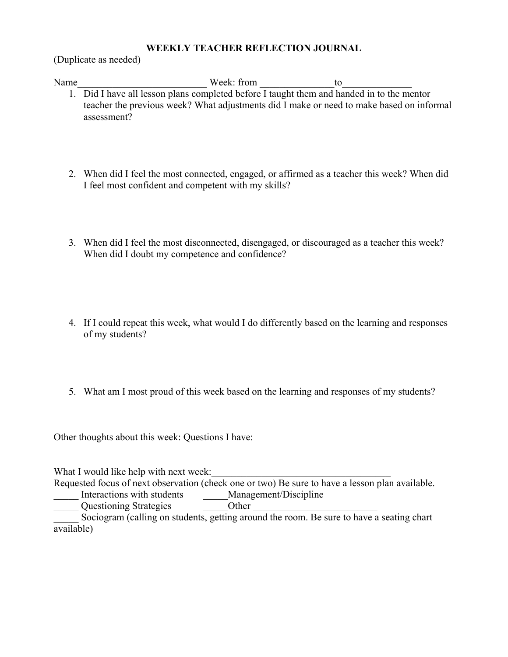#### **WEEKLY TEACHER REFLECTION JOURNAL**

(Duplicate as needed)

Name Week: from to

- 1. Did I have all lesson plans completed before I taught them and handed in to the mentor teacher the previous week? What adjustments did I make or need to make based on informal assessment?
- 2. When did I feel the most connected, engaged, or affirmed as a teacher this week? When did I feel most confident and competent with my skills?
- 3. When did I feel the most disconnected, disengaged, or discouraged as a teacher this week? When did I doubt my competence and confidence?
- 4. If I could repeat this week, what would I do differently based on the learning and responses of my students?
- 5. What am I most proud of this week based on the learning and responses of my students?

Other thoughts about this week: Questions I have:

What I would like help with next week: Requested focus of next observation (check one or two) Be sure to have a lesson plan available. Interactions with students Management/Discipline Questioning Strategies **Example 2018** Other Sociogram (calling on students, getting around the room. Be sure to have a seating chart available)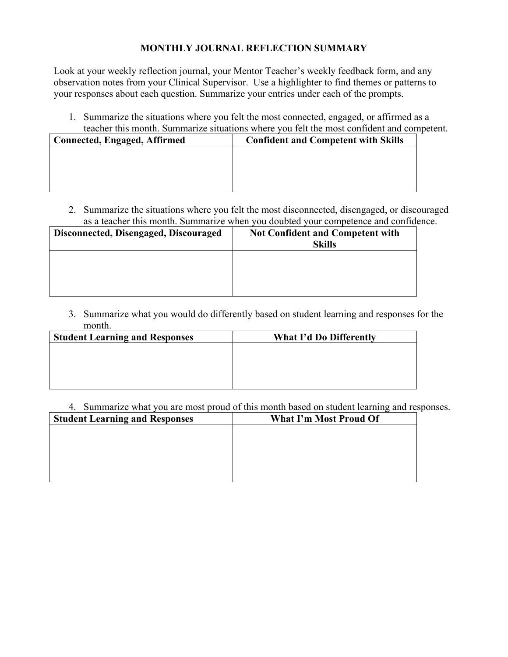### **MONTHLY JOURNAL REFLECTION SUMMARY**

Look at your weekly reflection journal, your Mentor Teacher's weekly feedback form, and any observation notes from your Clinical Supervisor. Use a highlighter to find themes or patterns to your responses about each question. Summarize your entries under each of the prompts.

1. Summarize the situations where you felt the most connected, engaged, or affirmed as a teacher this month. Summarize situations where you felt the most confident and competent.

| <b>Connected, Engaged, Affirmed</b> | <b>Confident and Competent with Skills</b> |  |  |  |
|-------------------------------------|--------------------------------------------|--|--|--|
|                                     |                                            |  |  |  |
|                                     |                                            |  |  |  |
|                                     |                                            |  |  |  |
|                                     |                                            |  |  |  |

2. Summarize the situations where you felt the most disconnected, disengaged, or discouraged as a teacher this month. Summarize when you doubted your competence and confidence.

| Disconnected, Disengaged, Discouraged | <b>Not Confident and Competent with</b><br><b>Skills</b> |
|---------------------------------------|----------------------------------------------------------|
|                                       |                                                          |
|                                       |                                                          |

3. Summarize what you would do differently based on student learning and responses for the month.

| <b>Student Learning and Responses</b> | <b>What I'd Do Differently</b> |  |  |  |
|---------------------------------------|--------------------------------|--|--|--|
|                                       |                                |  |  |  |
|                                       |                                |  |  |  |
|                                       |                                |  |  |  |
|                                       |                                |  |  |  |

4. Summarize what you are most proud of this month based on student learning and responses.

| <b>Student Learning and Responses</b> | <b>What I'm Most Proud Of</b> |  |  |  |
|---------------------------------------|-------------------------------|--|--|--|
|                                       |                               |  |  |  |
|                                       |                               |  |  |  |
|                                       |                               |  |  |  |
|                                       |                               |  |  |  |
|                                       |                               |  |  |  |